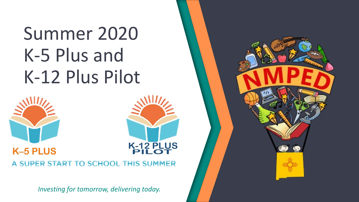# Summer 2020 K-5 Plus and K-12 Plus Pilot



#### **K-12 PLUS K-5 PLUS** A SUPER START TO SCHOOL THIS SUMMER

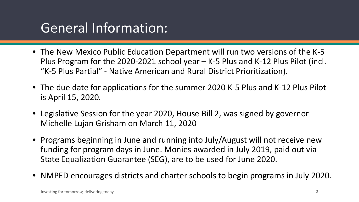## General Information:

- The New Mexico Public Education Department will run two versions of the K-5 Plus Program for the 2020-2021 school year – K-5 Plus and K-12 Plus Pilot (incl. "K-5 Plus Partial" - Native American and Rural District Prioritization).
- The due date for applications for the summer 2020 K-5 Plus and K-12 Plus Pilot is April 15, 2020.
- Legislative Session for the year 2020, House Bill 2, was signed by governor Michelle Lujan Grisham on March 11, 2020
- Programs beginning in June and running into July/August will not receive new funding for program days in June. Monies awarded in July 2019, paid out via State Equalization Guarantee (SEG), are to be used for June 2020.
- NMPED encourages districts and charter schools to begin programs in July 2020.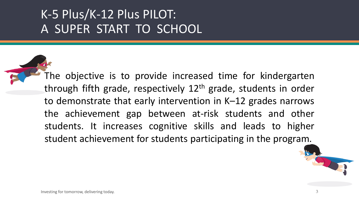## K-5 Plus/K-12 Plus PILOT: A SUPER START TO SCHOOL

The objective is to provide increased time for kindergarten through fifth grade, respectively 12<sup>th</sup> grade, students in order to demonstrate that early intervention in K–12 grades narrows the achievement gap between at-risk students and other students. It increases cognitive skills and leads to higher student achievement for students participating in the program.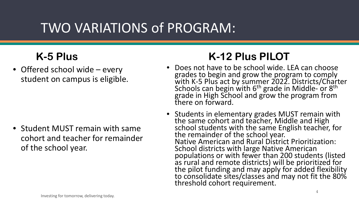## TWO VARIATIONS of PROGRAM:

• Offered school wide – every student on campus is eligible.

• Student MUST remain with same cohort and teacher for remainder of the school year.

### **K-5 Plus K-12 Plus PILOT**

- Does not have to be school wide. LEA can choose grades to begin and grow the program to comply with K-5 Plus act by summer 2022. Districts/Charter<br>Schools can begin with 6<sup>th</sup> grade in Middle- or 8<sup>th</sup> grade in High School and grow the program from there on forward.
- Students in elementary grades MUST remain with the same cohort and teacher, Middle and High school students with the same English teacher, for the remainder of the school year. Native American and Rural District Prioritization: School districts with large Native American populations or with fewer than 200 students (listed as rural and remote districts) will be prioritized for the pilot funding and may apply for added flexibility to consolidate sites/classes and may not fit the 80% threshold cohort requirement.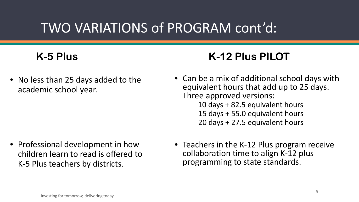## TWO VARIATIONS of PROGRAM cont'd:

• No less than 25 days added to the academic school year.

• Professional development in how children learn to read is offered to K-5 Plus teachers by districts.

### **K-5 Plus K-12 Plus PILOT**

- Can be a mix of additional school days with equivalent hours that add up to 25 days. Three approved versions:
	- 10 days + 82.5 equivalent hours 15 days + 55.0 equivalent hours 20 days + 27.5 equivalent hours
- Teachers in the K-12 Plus program receive collaboration time to align K-12 plus programming to state standards.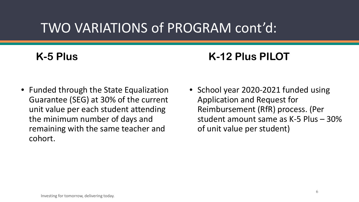## TWO VARIATIONS of PROGRAM cont'd:

### **K-5 Plus K-12 Plus PILOT**

- Funded through the State Equalization Guarantee (SEG) at 30% of the current unit value per each student attending the minimum number of days and remaining with the same teacher and cohort.
- School year 2020-2021 funded using Application and Request for Reimbursement (RfR) process. (Per student amount same as K-5 Plus – 30% of unit value per student)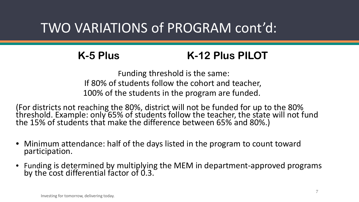## TWO VARIATIONS of PROGRAM cont'd:

#### **K-5 Plus K-12 Plus PILOT**

Funding threshold is the same: If 80% of students follow the cohort and teacher, 100% of the students in the program are funded.

(For districts not reaching the 80%, district will not be funded for up to the 80% threshold. Example: only 65% of students follow the teacher, the state will not fund the 15% of students that make the difference between 65% and 80%.)

- Minimum attendance: half of the days listed in the program to count toward participation.
- Funding is determined by multiplying the MEM in department-approved programs by the cost differential factor of 0.3.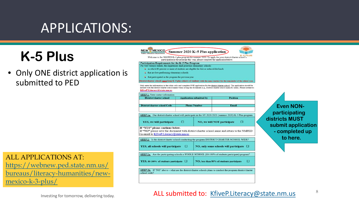## APPLICATIONS:

## **K-5 Plus**

• Only ONE district application is submitted to PED

ALL APPLICATIONS AT: https://webnew.ped.state.nm.us/ [bureaus/literacy-humanities/new](https://webnew.ped.state.nm.us/bureaus/literacy-humanities/new-mexico-k-3-plus/)mexico-k-3-plus/

participation in the program this year, please complete the application below Participation Requirements for the K-5 Plus Program Per New Mexico statute, the department shall prioritize elementary schools: in which 80 percent or more of students are eligible for free or reduced-fee lunch that are low-performing elementary schools that participated in the program the previous year strict/charter schools must keep K–5 plus cohorts of students with the same teacher for the remainder of the school year. Only enter the information in the white cells and complete ONE application for the district/charter school. The application should be labeled with the district/charter school name when saving the document (e.g., District/charter school-name.K-5plus). Please submit to KfiveP.Literacy@state.nm.us **STEP 1:** Enter contact information District/charter school **Application submitted by Position District/charter school Code Phone Number** Email STEP 1a: Our district/charter school will participate in the SY 2020/2021 (summer 2020) K-5 Plus program YES, we will participate □ NO, we will NOT participate  $\Box$ If "YES" please continue below. If "NO" please save the document with district/charter school name and return to the NMPED via email to KfiveP.Literacy@state.nm.us STEP 2: Is the district/charter school conducting the program DISTRICT/CHARTER SCHOOL WIDE? YES, all schools will participate  $\Box$ NO, only some schools will participate  $\Box$ STEP 2a: Are the participating schools a WHOLE SCHOOL (80-100% of students participate) program? YES, 80-100% of students participate  $\Box$ NO, less than 80% of students participate □ STEP 2b: If "NO" above - what are the district/charter schools plans to conduct the program district/charter school wide?

Welcome to the NM PED K-5 plus program for summer 2020. To apply for your district/charter school's

NEW MEXICO Summer 2020 K-5 Plus application

#### **Even NONparticipating districts MUST submit application - completed up to here.**

#### ALL submitted to: [KfiveP.Literacy@state.nm.us](mailto:KfiveP.Literacy@state.nm.us)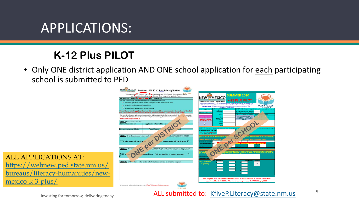## APPLICATIONS:

### **K-12 Plus PILOT**

• Only ONE district application AND ONE school application for each participating school is submitted to PED



ALL APPLICATIONS AT: https://webnew.ped.state.nm.us/ [bureaus/literacy-humanities/new](https://webnew.ped.state.nm.us/bureaus/literacy-humanities/new-mexico-k-3-plus/)mexico-k-3-plus/

ALL submitted to: [KfiveP.Literacy@state.nm.us](mailto:KfiveP.Literacy@state.nm.us)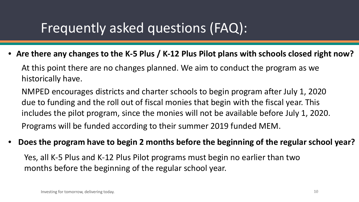## Frequently asked questions (FAQ):

• **Are there any changes to the K-5 Plus / K-12 Plus Pilot plans with schools closed right now?**

At this point there are no changes planned. We aim to conduct the program as we historically have.

NMPED encourages districts and charter schools to begin program after July 1, 2020 due to funding and the roll out of fiscal monies that begin with the fiscal year. This includes the pilot program, since the monies will not be available before July 1, 2020. Programs will be funded according to their summer 2019 funded MEM.

• **Does the program have to begin 2 months before the beginning of the regular school year?** 

Yes, all K-5 Plus and K-12 Plus Pilot programs must begin no earlier than two months before the beginning of the regular school year.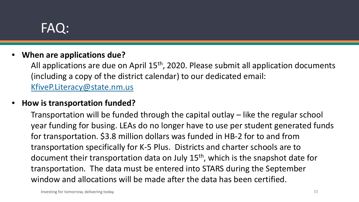#### • **When are applications due?**

All applications are due on April 15<sup>th</sup>, 2020. Please submit all application documents (including a copy of the district calendar) to our dedicated email: [KfiveP.Literacy@state.nm.us](mailto:KfiveP.Literacy@state.nm.us)

#### • **How is transportation funded?**

Transportation will be funded through the capital outlay – like the regular school year funding for busing. LEAs do no longer have to use per student generated funds for transportation. \$3.8 million dollars was funded in HB-2 for to and from transportation specifically for K-5 Plus. Districts and charter schools are to document their transportation data on July 15<sup>th</sup>, which is the snapshot date for transportation. The data must be entered into STARS during the September window and allocations will be made after the data has been certified.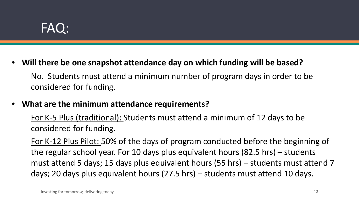• **Will there be one snapshot attendance day on which funding will be based?**

No. Students must attend a minimum number of program days in order to be considered for funding.

#### • **What are the minimum attendance requirements?**

For K-5 Plus (traditional): Students must attend a minimum of 12 days to be considered for funding.

For K-12 Plus Pilot: 50% of the days of program conducted before the beginning of the regular school year. For 10 days plus equivalent hours (82.5 hrs) – students must attend 5 days; 15 days plus equivalent hours (55 hrs) – students must attend 7 days; 20 days plus equivalent hours (27.5 hrs) – students must attend 10 days.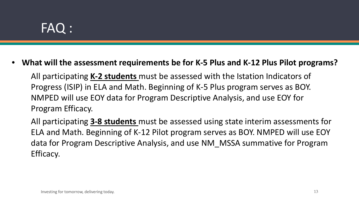• **What will the assessment requirements be for K-5 Plus and K-12 Plus Pilot programs?**

All participating **K-2 students** must be assessed with the Istation Indicators of Progress (ISIP) in ELA and Math. Beginning of K-5 Plus program serves as BOY. NMPED will use EOY data for Program Descriptive Analysis, and use EOY for Program Efficacy.

All participating **3-8 students** must be assessed using state interim assessments for ELA and Math. Beginning of K-12 Pilot program serves as BOY. NMPED will use EOY data for Program Descriptive Analysis, and use NM\_MSSA summative for Program Efficacy.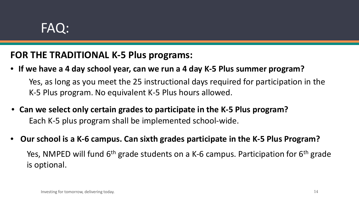#### **FOR THE TRADITIONAL K-5 Plus programs:**

- **If we have a 4 day school year, can we run a 4 day K-5 Plus summer program?** Yes, as long as you meet the 25 instructional days required for participation in the K-5 Plus program. No equivalent K-5 Plus hours allowed.
- **Can we select only certain grades to participate in the K-5 Plus program?**  Each K-5 plus program shall be implemented school-wide.
- **Our school is a K-6 campus. Can sixth grades participate in the K-5 Plus Program?**  Yes, NMPED will fund 6<sup>th</sup> grade students on a K-6 campus. Participation for 6<sup>th</sup> grade is optional.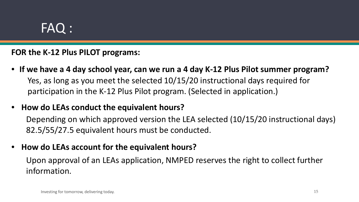#### **FOR the K-12 Plus PILOT programs:**

- **If we have a 4 day school year, can we run a 4 day K-12 Plus Pilot summer program?** Yes, as long as you meet the selected 10/15/20 instructional days required for participation in the K-12 Plus Pilot program. (Selected in application.)
- **How do LEAs conduct the equivalent hours?**

Depending on which approved version the LEA selected (10/15/20 instructional days) 82.5/55/27.5 equivalent hours must be conducted.

• **How do LEAs account for the equivalent hours?** 

Upon approval of an LEAs application, NMPED reserves the right to collect further information.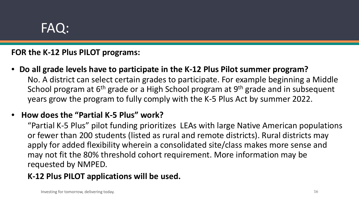#### **FOR the K-12 Plus PILOT programs:**

• **Do all grade levels have to participate in the K-12 Plus Pilot summer program?** No. A district can select certain grades to participate. For example beginning a Middle School program at 6<sup>th</sup> grade or a High School program at 9<sup>th</sup> grade and in subsequent years grow the program to fully comply with the K-5 Plus Act by summer 2022.

#### • **How does the "Partial K-5 Plus" work?**

"Partial K-5 Plus" pilot funding prioritizes LEAs with large Native American populations or fewer than 200 students (listed as rural and remote districts). Rural districts may apply for added flexibility wherein a consolidated site/class makes more sense and may not fit the 80% threshold cohort requirement. More information may be requested by NMPED.

#### **K-12 Plus PILOT applications will be used.**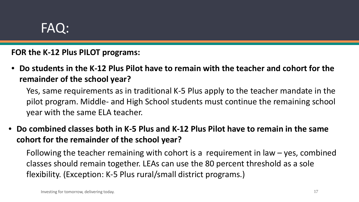**FOR the K-12 Plus PILOT programs:**

• **Do students in the K-12 Plus Pilot have to remain with the teacher and cohort for the remainder of the school year?**

Yes, same requirements as in traditional K-5 Plus apply to the teacher mandate in the pilot program. Middle- and High School students must continue the remaining school year with the same ELA teacher.

• **Do combined classes both in K-5 Plus and K-12 Plus Pilot have to remain in the same cohort for the remainder of the school year?**

Following the teacher remaining with cohort is a requirement in law – yes, combined classes should remain together. LEAs can use the 80 percent threshold as a sole flexibility. (Exception: K-5 Plus rural/small district programs.)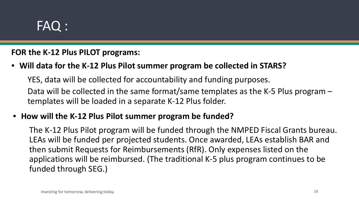#### **FOR the K-12 Plus PILOT programs:**

#### • **Will data for the K-12 Plus Pilot summer program be collected in STARS?**

YES, data will be collected for accountability and funding purposes. Data will be collected in the same format/same templates as the K-5 Plus program – templates will be loaded in a separate K-12 Plus folder.

#### • **How will the K-12 Plus Pilot summer program be funded?**

The K-12 Plus Pilot program will be funded through the NMPED Fiscal Grants bureau. LEAs will be funded per projected students. Once awarded, LEAs establish BAR and then submit Requests for Reimbursements (RfR). Only expenses listed on the applications will be reimbursed. (The traditional K-5 plus program continues to be funded through SEG.)